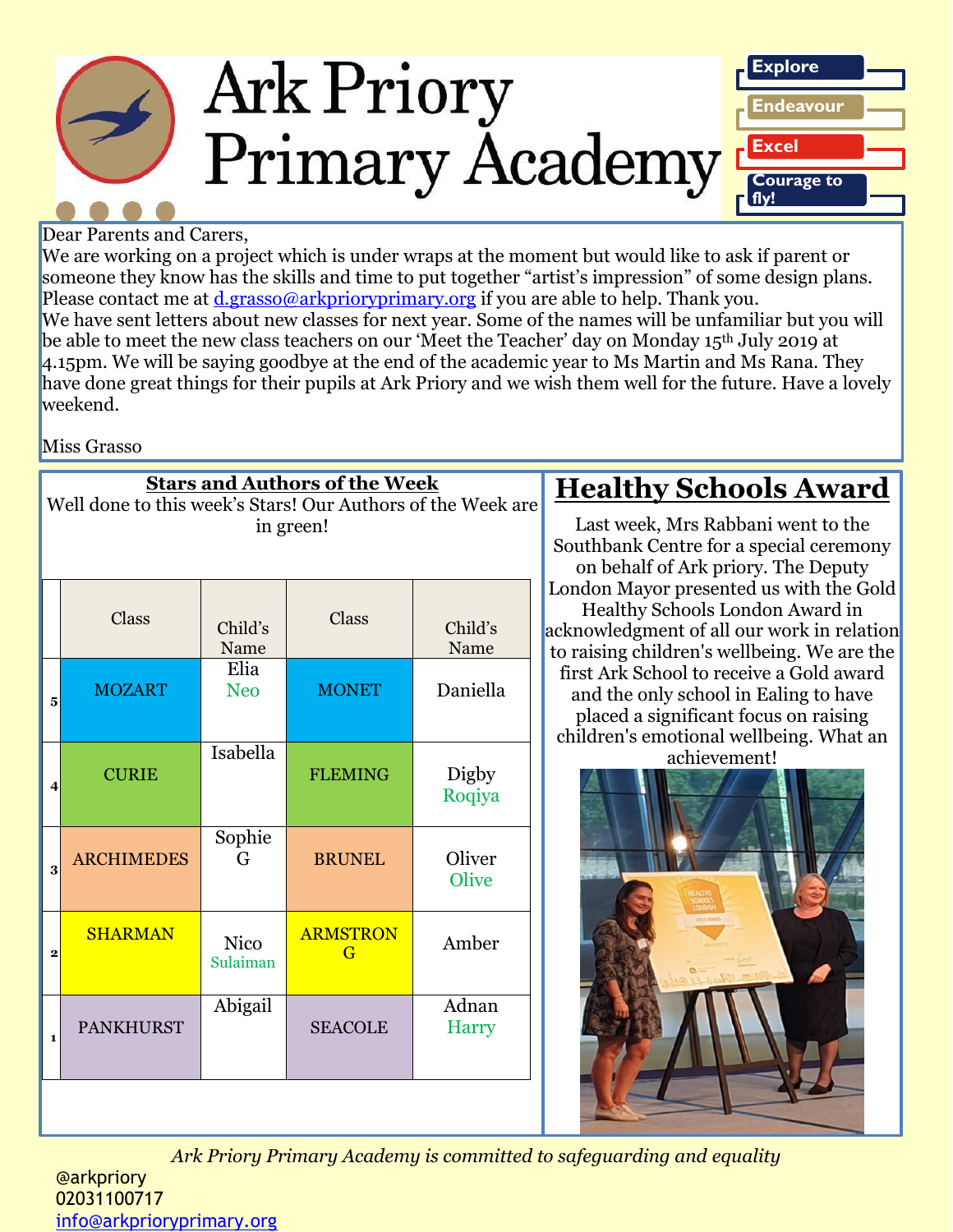

#### Dear Parents and Carers,

We are working on a project which is under wraps at the moment but would like to ask if parent or someone they know has the skills and time to put together "artist's impression" of some design plans. Please contact me at *d.grasso@arkprioryprimary.org* if you are able to help. Thank you. We have sent letters about new classes for next year. Some of the names will be unfamiliar but you will be able to meet the new class teachers on our 'Meet the Teacher' day on Monday 15<sup>th</sup> July 2019 at 4.15pm. We will be saying goodbye at the end of the academic year to Ms Martin and Ms Rana. They have done great things for their pupils at Ark Priory and we wish them well for the future. Have a lovely weekend.

Miss Grasso

| <b>Stars and Authors of the Week</b><br>Well done to this week's Stars! Our Authors of the Week are<br>in green! |                   |                         |                      |                        |   |
|------------------------------------------------------------------------------------------------------------------|-------------------|-------------------------|----------------------|------------------------|---|
|                                                                                                                  | Class             | Child's<br>Name         | Class                | Child's<br>Name        | a |
| 5                                                                                                                | <b>MOZART</b>     | Elia<br><b>Neo</b>      | <b>MONET</b>         | Daniella               |   |
| 4                                                                                                                | <b>CURIE</b>      | Isabella                | <b>FLEMING</b>       | <b>Digby</b><br>Roqiya |   |
| 3                                                                                                                | <b>ARCHIMEDES</b> | Sophie<br>G             | <b>BRUNEL</b>        | Oliver<br>Olive        |   |
| $\overline{2}$                                                                                                   | <b>SHARMAN</b>    | <b>Nico</b><br>Sulaiman | <b>ARMSTRON</b><br>G | Amber                  |   |
| $\mathbf{1}$                                                                                                     | <b>PANKHURST</b>  | Abigail                 | <b>SEACOLE</b>       | Adnan<br><b>Harry</b>  |   |
|                                                                                                                  |                   |                         |                      |                        |   |

# **Healthy Schools Award**

Last week, Mrs Rabbani went to the Southbank Centre for a special ceremony on behalf of Ark priory. The Deputy London Mayor presented us with the Gold Healthy Schools London Award in acknowledgment of all our work in relation to raising children's wellbeing. We are the first Ark School to receive a Gold award and the only school in Ealing to have placed a significant focus on raising children's emotional wellbeing. What an

achievement!



*Ark Priory Primary Academy is committed to safeguarding and equality*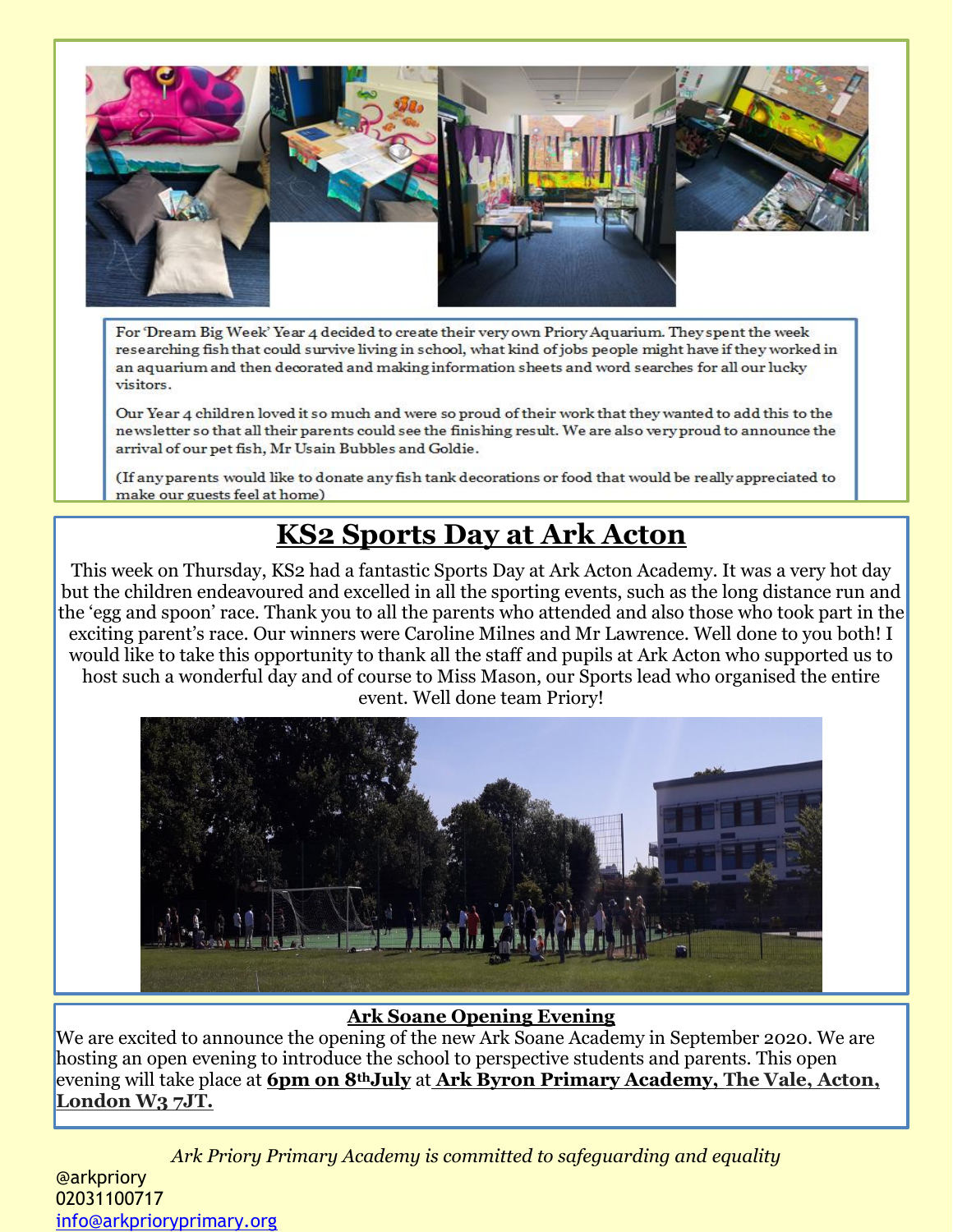

For 'Dream Big Week' Year 4 decided to create their very own Priory Aquarium. They spent the week researching fish that could survive living in school, what kind of jobs people might have if they worked in an aquarium and then decorated and making information sheets and word searches for all our lucky visitors.

Our Year 4 children loved it so much and were so proud of their work that they wanted to add this to the newsletter so that all their parents could see the finishing result. We are also very proud to announce the arrival of our pet fish, Mr Usain Bubbles and Goldie.

(If any parents would like to donate any fish tank decorations or food that would be really appreciated to make our guests feel at home)

# **KS2 Sports Day at Ark Acton**

This week on Thursday, KS2 had a fantastic Sports Day at Ark Acton Academy. It was a very hot day but the children endeavoured and excelled in all the sporting events, such as the long distance run and the 'egg and spoon' race. Thank you to all the parents who attended and also those who took part in the exciting parent's race. Our winners were Caroline Milnes and Mr Lawrence. Well done to you both! I would like to take this opportunity to thank all the staff and pupils at Ark Acton who supported us to host such a wonderful day and of course to Miss Mason, our Sports lead who organised the entire event. Well done team Priory!



#### **Ark Soane Opening Evening**

We are excited to announce the opening of the new Ark Soane Academy in September 2020. We are hosting an open evening to introduce the school to perspective students and parents. This open evening will take place at **6pm on 8thJuly** at **Ark Byron Primary Academy, The Vale, Acton, London W3 7JT.**

*Ark Priory Primary Academy is committed to safeguarding and equality*  @arkpriory 02031100717 [info@arkprioryprimary.org](mailto:info@arkprioryprimary.org)  Ark Soane will be a brand new school in the heart of Acton which will deliver an excellent education for ark Priory Primary Academy is committed to sajeguaraing and equality.<br>Can be found on our website: http://arksoan.com/arksoane.org/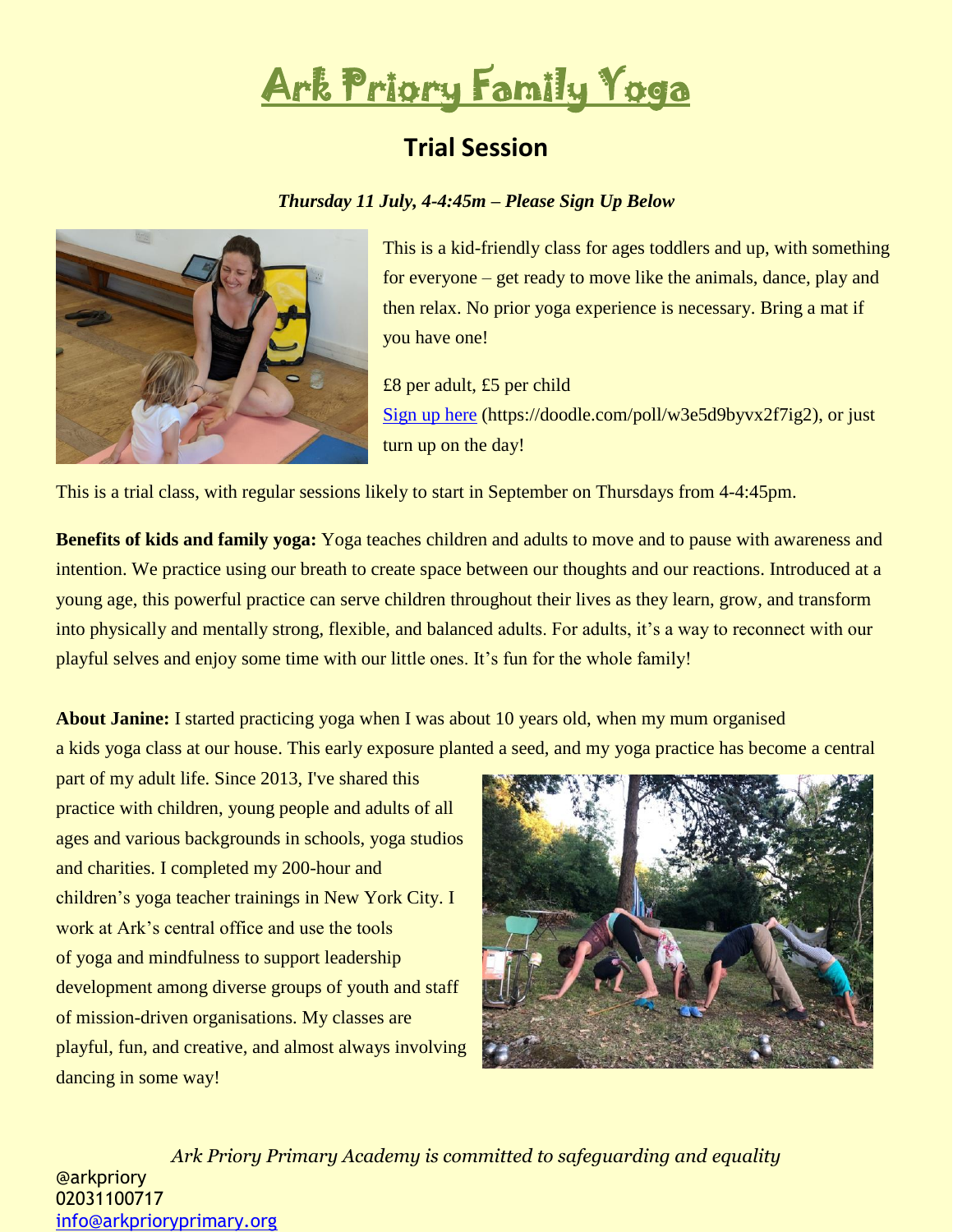

## **Trial Session**

#### *Thursday 11 July, 4-4:45m – Please Sign Up Below*



This is a kid-friendly class for ages toddlers and up, with something for everyone – get ready to move like the animals, dance, play and then relax. No prior yoga experience is necessary. Bring a mat if you have one!

£8 per adult, £5 per child [Sign up here](https://doodle.com/poll/w3e5d9byvx2f7ig2) (https://doodle.com/poll/w3e5d9byvx2f7ig2), or just turn up on the day!

This is a trial class, with regular sessions likely to start in September on Thursdays from 4-4:45pm.

**Benefits of kids and family yoga:** Yoga teaches children and adults to move and to pause with awareness and intention. We practice using our breath to create space between our thoughts and our reactions. Introduced at a young age, this powerful practice can serve children throughout their lives as they learn, grow, and transform into physically and mentally strong, flexible, and balanced adults. For adults, it's a way to reconnect with our playful selves and enjoy some time with our little ones. It's fun for the whole family!

**About Janine:** I started practicing yoga when I was about 10 years old, when my mum organised a kids yoga class at our house. This early exposure planted a seed, and my yoga practice has become a central

part of my adult life. Since 2013, I've shared this practice with children, young people and adults of all ages and various backgrounds in schools, yoga studios and charities. I completed my 200-hour and children's yoga teacher trainings in New York City. I work at Ark's central office and use the tools of yoga and mindfulness to support leadership development among diverse groups of youth and staff of mission-driven organisations. My classes are playful, fun, and creative, and almost always involving dancing in some way!



*Ark Priory Primary Academy is committed to safeguarding and equality*  @arkpriory 02031100717 [info@arkprioryprimary.org](mailto:info@arkprioryprimary.org)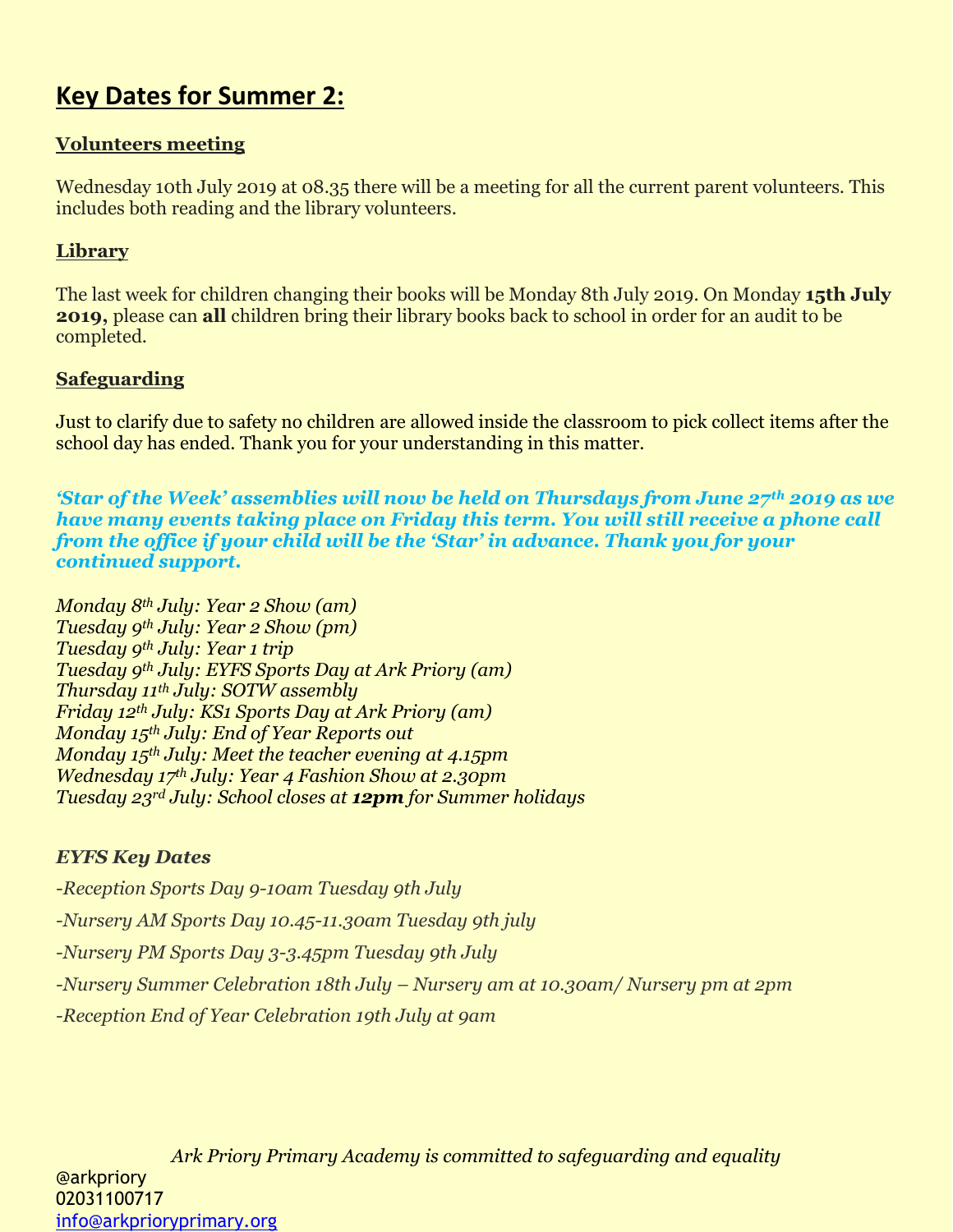# **Key Dates for Summer 2:**

## **Volunteers meeting**

Wednesday 10th July 2019 at 08.35 there will be a meeting for all the current parent volunteers. This includes both reading and the library volunteers.

## **Library**

The last week for children changing their books will be Monday 8th July 2019. On Monday **15th July 2019,** please can **all** children bring their library books back to school in order for an audit to be completed.

## **Safeguarding**

Just to clarify due to safety no children are allowed inside the classroom to pick collect items after the school day has ended. Thank you for your understanding in this matter.

*'Star of the Week' assemblies will now be held on Thursdays from June 27th 2019 as we have many events taking place on Friday this term. You will still receive a phone call from the office if your child will be the 'Star' in advance. Thank you for your continued support.*

*Monday 8th July: Year 2 Show (am) Tuesday 9th July: Year 2 Show (pm) Tuesday 9th July: Year 1 trip Tuesday 9th July: EYFS Sports Day at Ark Priory (am) Thursday 11th July: SOTW assembly Friday 12th July: KS1 Sports Day at Ark Priory (am) Monday 15th July: End of Year Reports out Monday 15th July: Meet the teacher evening at 4.15pm Wednesday 17th July: Year 4 Fashion Show at 2.30pm Tuesday 23rd July: School closes at 12pm for Summer holidays*

## *EYFS Key Dates*

*-Reception Sports Day 9-10am Tuesday 9th July -Nursery AM Sports Day 10.45-11.30am Tuesday 9th july -Nursery PM Sports Day 3-3.45pm Tuesday 9th July -Nursery Summer Celebration 18th July – Nursery am at 10.30am/ Nursery pm at 2pm -Reception End of Year Celebration 19th July at 9am*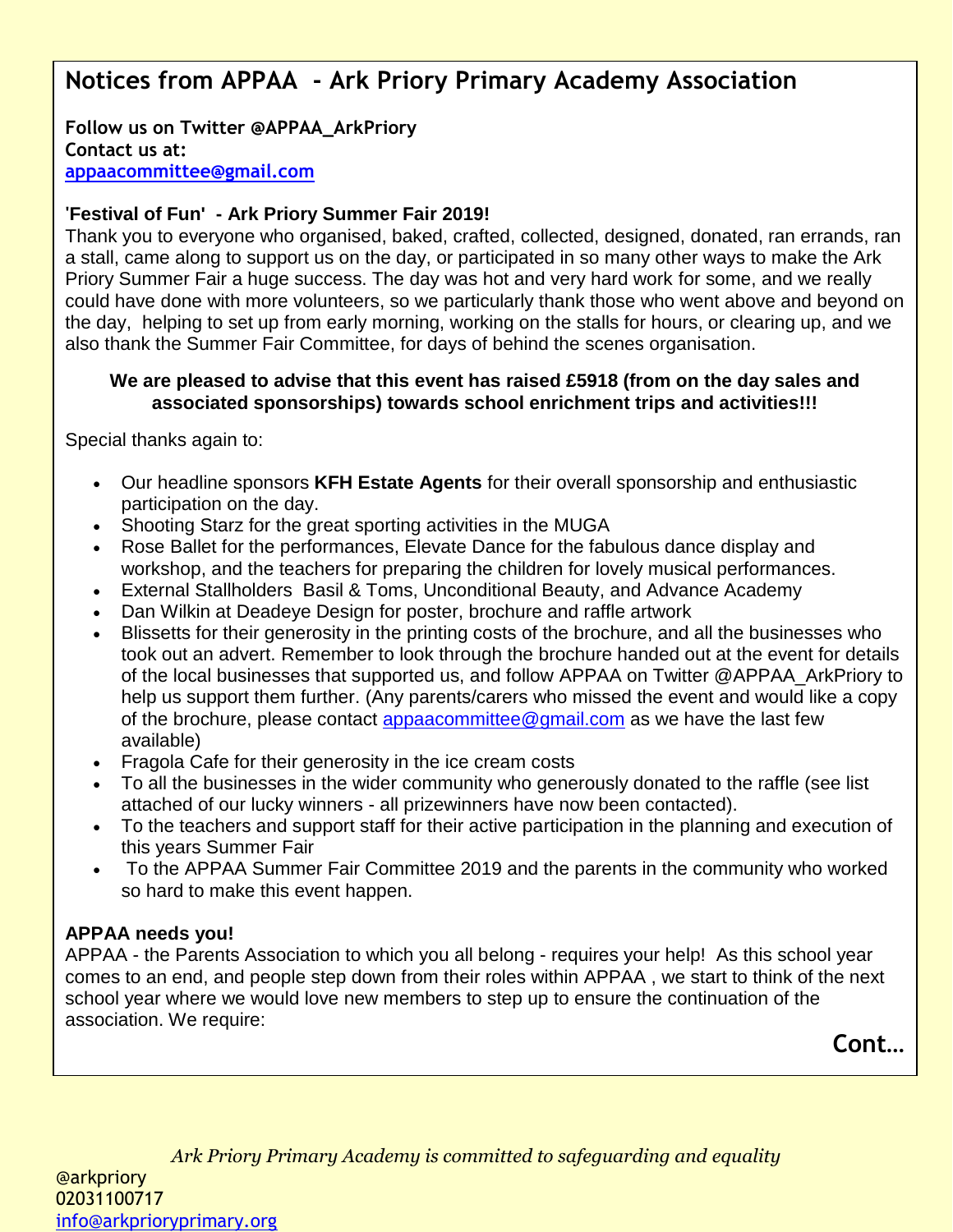# **Notices from APPAA - Ark Priory Primary Academy Association**

**Follow us on Twitter @APPAA\_ArkPriory Contact us at: [appaacommittee@gmail.com](mailto:appaacommittee@gmail.com)**

#### **'Festival of Fun' - Ark Priory Summer Fair 2019!**

Thank you to everyone who organised, baked, crafted, collected, designed, donated, ran errands, ran a stall, came along to support us on the day, or participated in so many other ways to make the Ark Priory Summer Fair a huge success. The day was hot and very hard work for some, and we really could have done with more volunteers, so we particularly thank those who went above and beyond on the day, helping to set up from early morning, working on the stalls for hours, or clearing up, and we also thank the Summer Fair Committee, for days of behind the scenes organisation.

#### **We are pleased to advise that this event has raised £5918 (from on the day sales and associated sponsorships) towards school enrichment trips and activities!!!**

Special thanks again to:

- Our headline sponsors **KFH Estate Agents** for their overall sponsorship and enthusiastic participation on the day.
- Shooting Starz for the great sporting activities in the MUGA
- Rose Ballet for the performances, Elevate Dance for the fabulous dance display and workshop, and the teachers for preparing the children for lovely musical performances.
- External Stallholders Basil & Toms, Unconditional Beauty, and Advance Academy
- Dan Wilkin at Deadeye Design for poster, brochure and raffle artwork
- Blissetts for their generosity in the printing costs of the brochure, and all the businesses who took out an advert. Remember to look through the brochure handed out at the event for details of the local businesses that supported us, and follow APPAA on Twitter @APPAA\_ArkPriory to help us support them further. (Any parents/carers who missed the event and would like a copy of the brochure, please contact [appaacommittee@gmail.com](mailto:appaacommittee@gmail.com) as we have the last few available)
- Fragola Cafe for their generosity in the ice cream costs
- To all the businesses in the wider community who generously donated to the raffle (see list attached of our lucky winners - all prizewinners have now been contacted).
- To the teachers and support staff for their active participation in the planning and execution of this years Summer Fair
- To the APPAA Summer Fair Committee 2019 and the parents in the community who worked so hard to make this event happen.

#### **APPAA needs you!**

APPAA - the Parents Association to which you all belong - requires your help! As this school year comes to an end, and people step down from their roles within APPAA , we start to think of the next school year where we would love new members to step up to ensure the continuation of the association. We require:

**Cont…**

*Ark Priory Primary Academy is committed to safeguarding and equality*  @arkpriory 02031100717 [info@arkprioryprimary.org](mailto:info@arkprioryprimary.org)